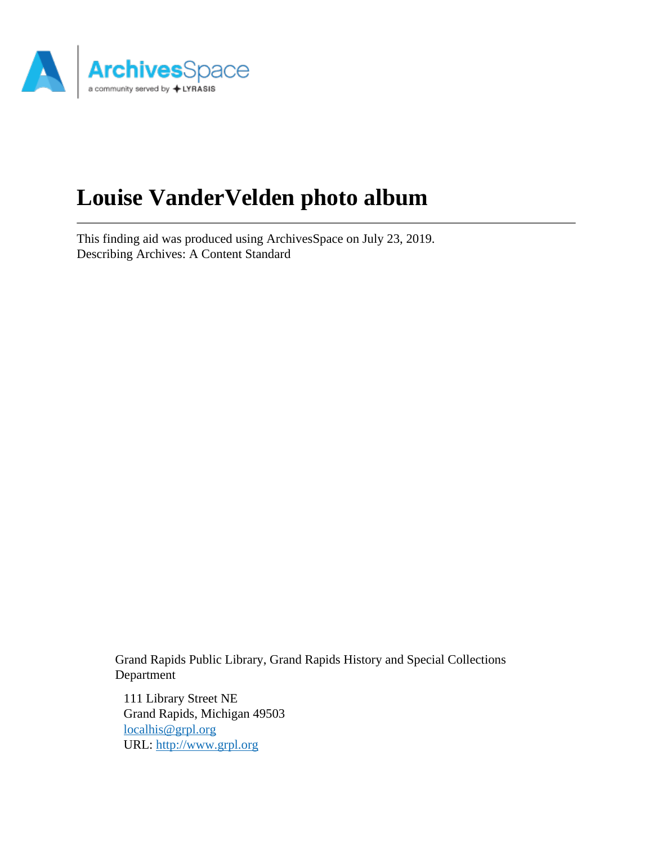

# **Louise VanderVelden photo album**

This finding aid was produced using ArchivesSpace on July 23, 2019. Describing Archives: A Content Standard

> Grand Rapids Public Library, Grand Rapids History and Special Collections Department

111 Library Street NE Grand Rapids, Michigan 49503 [localhis@grpl.org](mailto:localhis@grpl.org) URL:<http://www.grpl.org>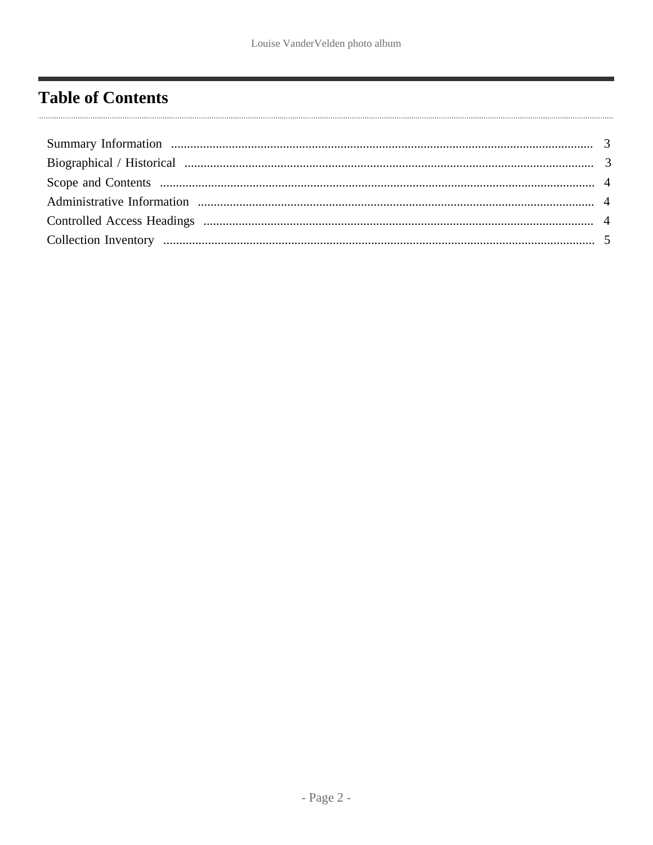### <span id="page-1-0"></span>**Table of Contents**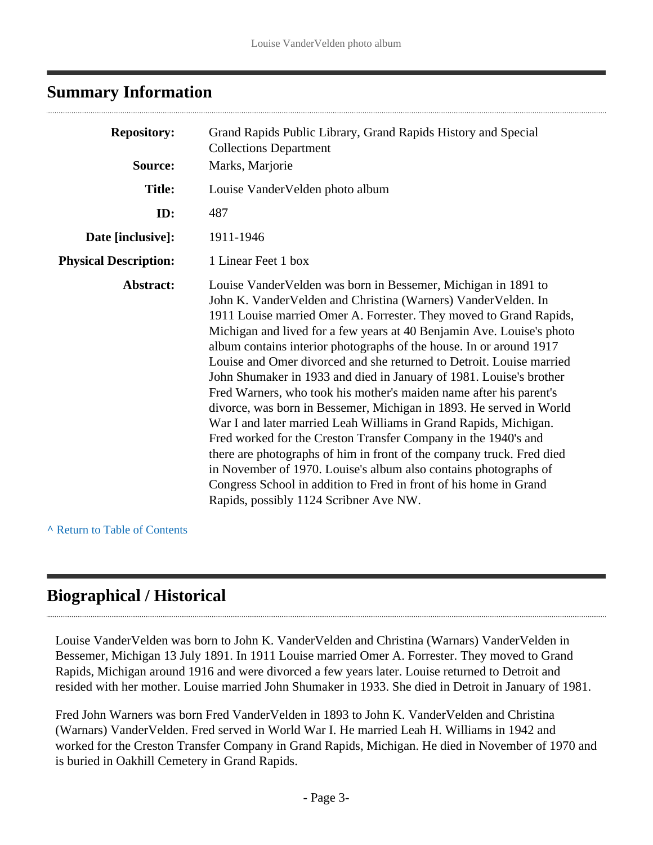#### <span id="page-2-0"></span>**Summary Information**

| <b>Repository:</b>           | Grand Rapids Public Library, Grand Rapids History and Special<br><b>Collections Department</b>                                                                                                                                                                                                                                                                                                                                                                                                                                                                                                                                                                                                                                                                                                                                                                                                                                                                                                                                                        |  |
|------------------------------|-------------------------------------------------------------------------------------------------------------------------------------------------------------------------------------------------------------------------------------------------------------------------------------------------------------------------------------------------------------------------------------------------------------------------------------------------------------------------------------------------------------------------------------------------------------------------------------------------------------------------------------------------------------------------------------------------------------------------------------------------------------------------------------------------------------------------------------------------------------------------------------------------------------------------------------------------------------------------------------------------------------------------------------------------------|--|
| Source:                      | Marks, Marjorie                                                                                                                                                                                                                                                                                                                                                                                                                                                                                                                                                                                                                                                                                                                                                                                                                                                                                                                                                                                                                                       |  |
| <b>Title:</b>                | Louise VanderVelden photo album                                                                                                                                                                                                                                                                                                                                                                                                                                                                                                                                                                                                                                                                                                                                                                                                                                                                                                                                                                                                                       |  |
| ID:                          | 487                                                                                                                                                                                                                                                                                                                                                                                                                                                                                                                                                                                                                                                                                                                                                                                                                                                                                                                                                                                                                                                   |  |
| Date [inclusive]:            | 1911-1946                                                                                                                                                                                                                                                                                                                                                                                                                                                                                                                                                                                                                                                                                                                                                                                                                                                                                                                                                                                                                                             |  |
| <b>Physical Description:</b> | 1 Linear Feet 1 box                                                                                                                                                                                                                                                                                                                                                                                                                                                                                                                                                                                                                                                                                                                                                                                                                                                                                                                                                                                                                                   |  |
| Abstract:                    | Louise Vander Velden was born in Bessemer, Michigan in 1891 to<br>John K. Vander Velden and Christina (Warners) Vander Velden. In<br>1911 Louise married Omer A. Forrester. They moved to Grand Rapids,<br>Michigan and lived for a few years at 40 Benjamin Ave. Louise's photo<br>album contains interior photographs of the house. In or around 1917<br>Louise and Omer divorced and she returned to Detroit. Louise married<br>John Shumaker in 1933 and died in January of 1981. Louise's brother<br>Fred Warners, who took his mother's maiden name after his parent's<br>divorce, was born in Bessemer, Michigan in 1893. He served in World<br>War I and later married Leah Williams in Grand Rapids, Michigan.<br>Fred worked for the Creston Transfer Company in the 1940's and<br>there are photographs of him in front of the company truck. Fred died<br>in November of 1970. Louise's album also contains photographs of<br>Congress School in addition to Fred in front of his home in Grand<br>Rapids, possibly 1124 Scribner Ave NW. |  |

**^** [Return to Table of Contents](#page-1-0)

### <span id="page-2-1"></span>**Biographical / Historical**

Louise VanderVelden was born to John K. VanderVelden and Christina (Warnars) VanderVelden in Bessemer, Michigan 13 July 1891. In 1911 Louise married Omer A. Forrester. They moved to Grand Rapids, Michigan around 1916 and were divorced a few years later. Louise returned to Detroit and resided with her mother. Louise married John Shumaker in 1933. She died in Detroit in January of 1981.

Fred John Warners was born Fred VanderVelden in 1893 to John K. VanderVelden and Christina (Warnars) VanderVelden. Fred served in World War I. He married Leah H. Williams in 1942 and worked for the Creston Transfer Company in Grand Rapids, Michigan. He died in November of 1970 and is buried in Oakhill Cemetery in Grand Rapids.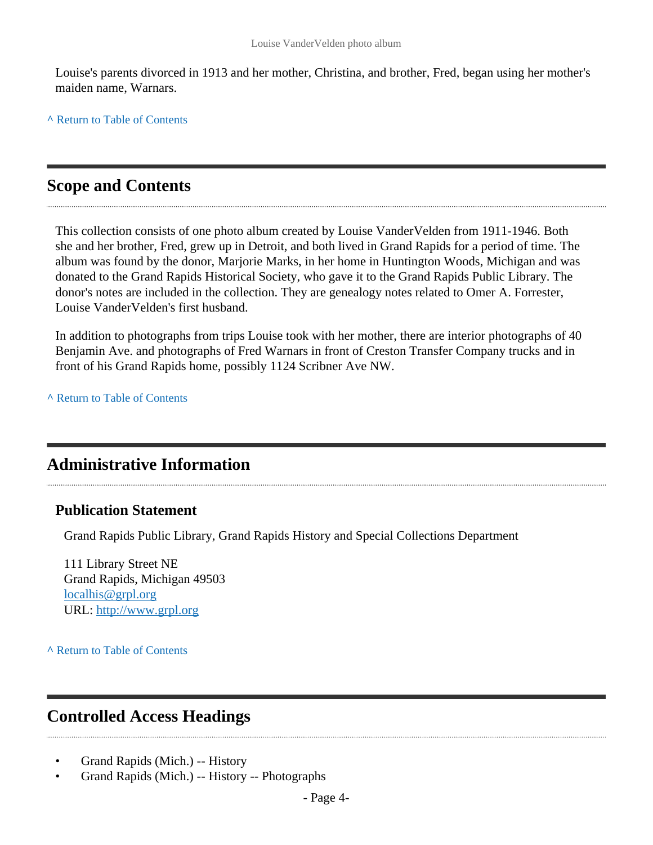Louise's parents divorced in 1913 and her mother, Christina, and brother, Fred, began using her mother's maiden name, Warnars.

**^** [Return to Table of Contents](#page-1-0)

#### <span id="page-3-0"></span>**Scope and Contents**

This collection consists of one photo album created by Louise VanderVelden from 1911-1946. Both she and her brother, Fred, grew up in Detroit, and both lived in Grand Rapids for a period of time. The album was found by the donor, Marjorie Marks, in her home in Huntington Woods, Michigan and was donated to the Grand Rapids Historical Society, who gave it to the Grand Rapids Public Library. The donor's notes are included in the collection. They are genealogy notes related to Omer A. Forrester, Louise VanderVelden's first husband.

In addition to photographs from trips Louise took with her mother, there are interior photographs of 40 Benjamin Ave. and photographs of Fred Warnars in front of Creston Transfer Company trucks and in front of his Grand Rapids home, possibly 1124 Scribner Ave NW.

**^** [Return to Table of Contents](#page-1-0)

#### <span id="page-3-1"></span>**Administrative Information**

#### **Publication Statement**

Grand Rapids Public Library, Grand Rapids History and Special Collections Department

111 Library Street NE Grand Rapids, Michigan 49503 [localhis@grpl.org](mailto:localhis@grpl.org) URL:<http://www.grpl.org>

**^** [Return to Table of Contents](#page-1-0)

### <span id="page-3-2"></span>**Controlled Access Headings**

- Grand Rapids (Mich.) -- History
- Grand Rapids (Mich.) -- History -- Photographs